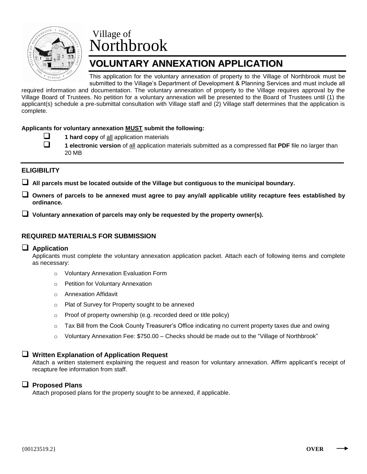

# Village of Northbrook

## **VOLUNTARY ANNEXATION APPLICATION**

This application for the voluntary annexation of property to the Village of Northbrook must be submitted to the Village's Department of Development & Planning Services and must include all

required information and documentation. The voluntary annexation of property to the Village requires approval by the Village Board of Trustees. No petition for a voluntary annexation will be presented to the Board of Trustees until (1) the applicant(s) schedule a pre-submittal consultation with Village staff and (2) Village staff determines that the application is complete.

#### **Applicants for voluntary annexation MUST submit the following:**

- **1 hard copy** of all application materials
- 
- **1 electronic version** of all application materials submitted as a compressed flat **PDF** file no larger than 20 MB

## **ELIGIBILITY**

**All parcels must be located outside of the Village but contiguous to the municipal boundary.**

 **Owners of parcels to be annexed must agree to pay any/all applicable utility recapture fees established by ordinance.** 

**Voluntary annexation of parcels may only be requested by the property owner(s).** 

## **REQUIRED MATERIALS FOR SUBMISSION**

## **Application**

Applicants must complete the voluntary annexation application packet. Attach each of following items and complete as necessary:

- o Voluntary Annexation Evaluation Form
- o Petition for Voluntary Annexation
- o Annexation Affidavit
- o Plat of Survey for Property sought to be annexed
- o Proof of property ownership (e.g. recorded deed or title policy)
- $\circ$  Tax Bill from the Cook County Treasurer's Office indicating no current property taxes due and owing
- $\circ$  Voluntary Annexation Fee: \$750.00 Checks should be made out to the "Village of Northbrook"

## **Written Explanation of Application Request**

Attach a written statement explaining the request and reason for voluntary annexation. Affirm applicant's receipt of recapture fee information from staff.

## **Proposed Plans**

Attach proposed plans for the property sought to be annexed, if applicable.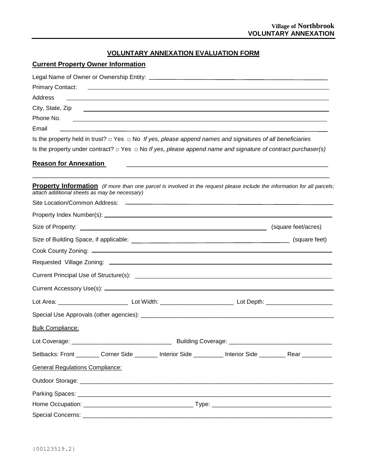## **VOLUNTARY ANNEXATION EVALUATION FORM**

## **Current Property Owner Information**

| <b>Primary Contact:</b>                       | <u> 1999 - Johann Harry Harry Harry Harry Harry Harry Harry Harry Harry Harry Harry Harry Harry Harry Harry Harry H</u>  |                                                                                                                      |                     |
|-----------------------------------------------|--------------------------------------------------------------------------------------------------------------------------|----------------------------------------------------------------------------------------------------------------------|---------------------|
| Address                                       | <u> 1990 - Jan Samuel Barbara, martin da shekara ta 1991 - An tsara tsara tsara tsara tsara tsara tsara tsara tsa</u>    |                                                                                                                      |                     |
| City, State, Zip                              | <u> 1989 - Johann Stein, marwolaethau a bhann an t-Amhainn an t-Amhainn an t-Amhainn an t-Amhainn an t-Amhainn an</u>    |                                                                                                                      |                     |
| Phone No.                                     | and <u>the contract of the contract of the contract of the contract of the contract of the contract of</u>               |                                                                                                                      |                     |
| Email                                         |                                                                                                                          |                                                                                                                      |                     |
|                                               | Is the property held in trust? $\Box$ Yes $\Box$ No If yes, please append names and signatures of all beneficiaries      |                                                                                                                      |                     |
|                                               | Is the property under contract? $\Box$ Yes $\Box$ No If yes, please append name and signature of contract purchaser(s)   |                                                                                                                      |                     |
| <b>Reason for Annexation</b>                  |                                                                                                                          | <u> 1990 - Jan James James James James James James James James James James James James James James James James J</u> |                     |
| attach additional sheets as may be necessary) | Property Information (if more than one parcel is involved in the request please include the information for all parcels; |                                                                                                                      |                     |
|                                               |                                                                                                                          |                                                                                                                      |                     |
|                                               |                                                                                                                          |                                                                                                                      |                     |
|                                               |                                                                                                                          |                                                                                                                      | (square feet/acres) |
|                                               |                                                                                                                          |                                                                                                                      | (square feet)       |
|                                               |                                                                                                                          |                                                                                                                      |                     |
|                                               |                                                                                                                          |                                                                                                                      |                     |
|                                               |                                                                                                                          |                                                                                                                      |                     |
|                                               |                                                                                                                          |                                                                                                                      |                     |
|                                               |                                                                                                                          |                                                                                                                      |                     |
|                                               |                                                                                                                          |                                                                                                                      |                     |
| <b>Bulk Compliance:</b>                       |                                                                                                                          |                                                                                                                      |                     |
| Lot Coverage: _                               |                                                                                                                          | <b>EXAMPLE THE SUBSET COVERAGE:</b> LETTER Building Coverage:                                                        |                     |
|                                               | Setbacks: Front ________ Corner Side _______ Interior Side ________ Interior Side ________ Rear _________                |                                                                                                                      |                     |
| <b>General Regulations Compliance:</b>        |                                                                                                                          |                                                                                                                      |                     |
|                                               |                                                                                                                          |                                                                                                                      |                     |
|                                               |                                                                                                                          |                                                                                                                      |                     |
|                                               |                                                                                                                          |                                                                                                                      |                     |
|                                               |                                                                                                                          |                                                                                                                      |                     |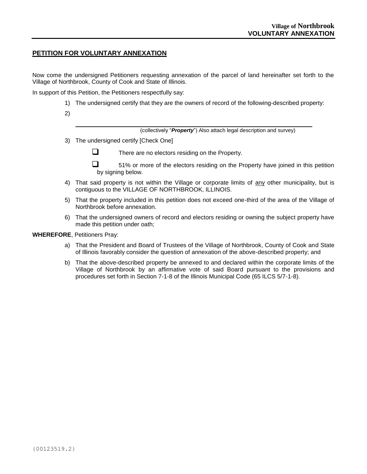#### **PETITION FOR VOLUNTARY ANNEXATION**

Now come the undersigned Petitioners requesting annexation of the parcel of land hereinafter set forth to the Village of Northbrook, County of Cook and State of Illinois.

In support of this Petition, the Petitioners respectfully say:

- 1) The undersigned certify that they are the owners of record of the following-described property:
- 2)

\_\_\_\_\_\_\_\_\_\_\_\_\_\_\_\_\_\_\_\_\_\_\_\_\_\_\_\_\_\_\_\_\_\_\_\_\_\_\_\_\_\_\_\_\_\_\_\_\_\_\_\_\_\_\_\_\_\_\_\_\_\_\_\_\_\_\_\_\_\_\_ (collectively "*Property*") Also attach legal description and survey)

3) The undersigned certify [Check One]

 $\Box$  There are no electors residing on the Property.

 $\Box$  51% or more of the electors residing on the Property have joined in this petition by signing below.

- 4) That said property is not within the Village or corporate limits of any other municipality, but is contiguous to the VILLAGE OF NORTHBROOK, ILLINOIS.
- 5) That the property included in this petition does not exceed one-third of the area of the Village of Northbrook before annexation.
- 6) That the undersigned owners of record and electors residing or owning the subject property have made this petition under oath;

#### **WHEREFORE**, Petitioners Pray:

- a) That the President and Board of Trustees of the Village of Northbrook, County of Cook and State of Illinois favorably consider the question of annexation of the above-described property; and
- b) That the above-described property be annexed to and declared within the corporate limits of the Village of Northbrook by an affirmative vote of said Board pursuant to the provisions and procedures set forth in Section 7-1-8 of the Illinois Municipal Code (65 ILCS 5/7-1-8).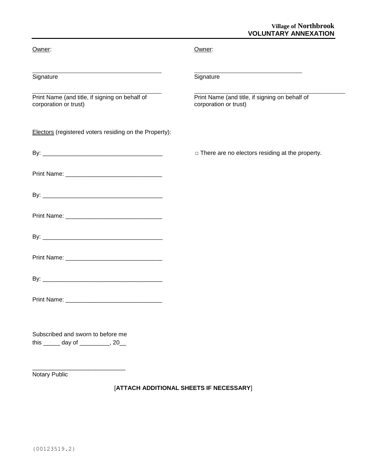## **Village of Northbrook VOLUNTARY ANNEXATION**

i<br>L

| Owner:                                                                    | Owner:                                                                  |
|---------------------------------------------------------------------------|-------------------------------------------------------------------------|
| Signature                                                                 | Signature                                                               |
| Print Name (and title, if signing on behalf of<br>corporation or trust)   | Print Name (and title, if signing on behalf of<br>corporation or trust) |
| Electors (registered voters residing on the Property):                    |                                                                         |
|                                                                           | $\Box$ There are no electors residing at the property.                  |
|                                                                           |                                                                         |
|                                                                           |                                                                         |
|                                                                           |                                                                         |
|                                                                           |                                                                         |
|                                                                           |                                                                         |
|                                                                           |                                                                         |
|                                                                           |                                                                         |
| Subscribed and sworn to before me<br>this _______ day of __________, 20__ |                                                                         |
|                                                                           |                                                                         |

Notary Public

## [**ATTACH ADDITIONAL SHEETS IF NECESSARY**]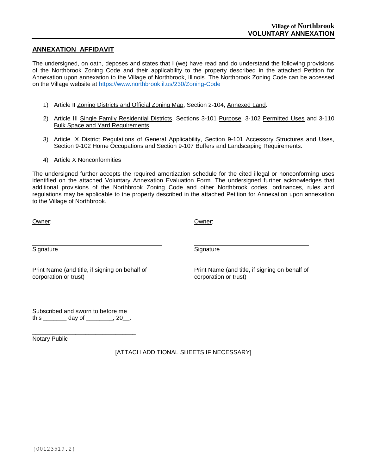## **ANNEXATION AFFIDAVIT**

The undersigned, on oath, deposes and states that I (we) have read and do understand the following provisions of the Northbrook Zoning Code and their applicability to the property described in the attached Petition for Annexation upon annexation to the Village of Northbrook, Illinois. The Northbrook Zoning Code can be accessed on the Village website at<https://www.northbrook.il.us/230/Zoning-Code>

- 1) Article II Zoning Districts and Official Zoning Map, Section 2-104, Annexed Land.
- 2) Article III Single Family Residential Districts, Sections 3-101 Purpose, 3-102 Permitted Uses and 3-110 Bulk Space and Yard Requirements.
- 3) Article IX District Regulations of General Applicability, Section 9-101 Accessory Structures and Uses, Section 9-102 Home Occupations and Section 9-107 Buffers and Landscaping Requirements.
- 4) Article X Nonconformities

The undersigned further accepts the required amortization schedule for the cited illegal or nonconforming uses identified on the attached Voluntary Annexation Evaluation Form. The undersigned further acknowledges that additional provisions of the Northbrook Zoning Code and other Northbrook codes, ordinances, rules and regulations may be applicable to the property described in the attached Petition for Annexation upon annexation to the Village of Northbrook.

Owner:

Owner:

**Signature** 

**Signature** 

Print Name (and title, if signing on behalf of corporation or trust)

 Print Name (and title, if signing on behalf of corporation or trust)

Subscribed and sworn to before me this \_\_\_\_\_\_\_\_\_ day of \_\_\_\_\_\_\_\_, 20\_\_.

\_\_\_\_\_\_\_\_\_\_\_\_\_\_\_\_\_\_\_\_\_\_\_\_\_\_\_\_\_\_\_ Notary Public

[ATTACH ADDITIONAL SHEETS IF NECESSARY]